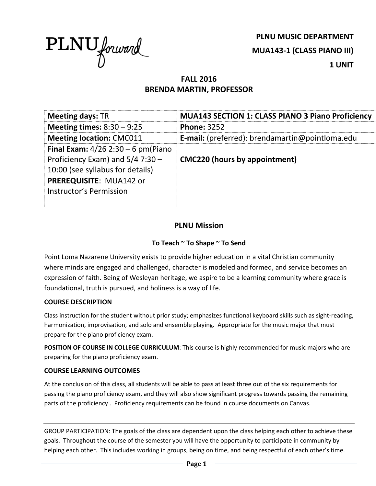

**PLNU MUSIC DEPARTMENT MUA143-1 (CLASS PIANO III) 1 UNIT**

# **FALL 2016 BRENDA MARTIN, PROFESSOR**

| <b>Meeting days: TR</b>                                                                                               | <b>MUA143 SECTION 1: CLASS PIANO 3 Piano Proficiency</b> |  |
|-----------------------------------------------------------------------------------------------------------------------|----------------------------------------------------------|--|
| Meeting times: $8:30 - 9:25$                                                                                          | <b>Phone: 3252</b>                                       |  |
| <b>Meeting location: CMC011</b>                                                                                       | <b>E-mail:</b> (preferred): brendamartin@pointloma.edu   |  |
| <b>Final Exam:</b> $4/26$ 2:30 – 6 pm(Piano<br>Proficiency Exam) and $5/4$ 7:30 -<br>10:00 (see syllabus for details) | <b>CMC220 (hours by appointment)</b>                     |  |
| PREREQUISITE: MUA142 or<br>Instructor's Permission                                                                    |                                                          |  |

## **PLNU Mission**

## **To Teach ~ To Shape ~ To Send**

Point Loma Nazarene University exists to provide higher education in a vital Christian community where minds are engaged and challenged, character is modeled and formed, and service becomes an expression of faith. Being of Wesleyan heritage, we aspire to be a learning community where grace is foundational, truth is pursued, and holiness is a way of life.

#### **COURSE DESCRIPTION**

Class instruction for the student without prior study; emphasizes functional keyboard skills such as sight-reading, harmonization, improvisation, and solo and ensemble playing. Appropriate for the music major that must prepare for the piano proficiency exam.

**POSITION OF COURSE IN COLLEGE CURRICULUM**: This course is highly recommended for music majors who are preparing for the piano proficiency exam.

#### **COURSE LEARNING OUTCOMES**

At the conclusion of this class, all students will be able to pass at least three out of the six requirements for passing the piano proficiency exam, and they will also show significant progress towards passing the remaining parts of the proficiency . Proficiency requirements can be found in course documents on Canvas.

GROUP PARTICIPATION: The goals of the class are dependent upon the class helping each other to achieve these goals. Throughout the course of the semester you will have the opportunity to participate in community by helping each other. This includes working in groups, being on time, and being respectful of each other's time.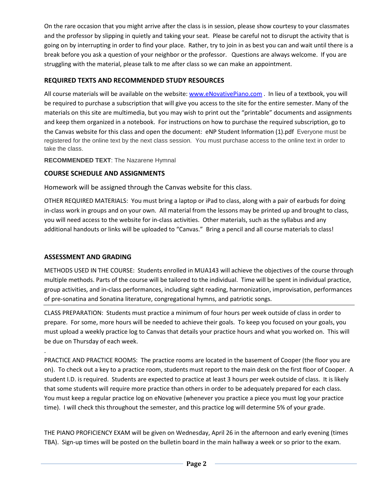On the rare occasion that you might arrive after the class is in session, please show courtesy to your classmates and the professor by slipping in quietly and taking your seat. Please be careful not to disrupt the activity that is going on by interrupting in order to find your place. Rather, try to join in as best you can and wait until there is a break before you ask a question of your neighbor or the professor. Questions are always welcome. If you are struggling with the material, please talk to me after class so we can make an appointment.

## **REQUIRED TEXTS AND RECOMMENDED STUDY RESOURCES**

All course materials will be available on the website: [www.eNovativePiano.com](http://www.enovativepiano.com/) . In lieu of a textbook, you will be required to purchase a subscription that will give you access to the site for the entire semester. Many of the materials on this site are multimedia, but you may wish to print out the "printable" documents and assignments and keep them organized in a notebook. For instructions on how to purchase the required subscription, go to the Canvas website for this class and open the document: eNP Student Information (1).pdf Everyone must be registered for the online text by the next class session. You must purchase access to the online text in order to take the class.

**RECOMMENDED TEXT**: The Nazarene Hymnal

## **COURSE SCHEDULE AND ASSIGNMENTS**

Homework will be assigned through the Canvas website for this class.

OTHER REQUIRED MATERIALS: You must bring a laptop or iPad to class, along with a pair of earbuds for doing in-class work in groups and on your own. All material from the lessons may be printed up and brought to class, you will need access to the website for in-class activities. Other materials, such as the syllabus and any additional handouts or links will be uploaded to "Canvas." Bring a pencil and all course materials to class!

## **ASSESSMENT AND GRADING**

.

METHODS USED IN THE COURSE: Students enrolled in MUA143 will achieve the objectives of the course through multiple methods. Parts of the course will be tailored to the individual. Time will be spent in individual practice, group activities, and in-class performances, including sight reading, harmonization, improvisation, performances of pre-sonatina and Sonatina literature, congregational hymns, and patriotic songs.

CLASS PREPARATION: Students must practice a minimum of four hours per week outside of class in order to prepare. For some, more hours will be needed to achieve their goals. To keep you focused on your goals, you must upload a weekly practice log to Canvas that details your practice hours and what you worked on. This will be due on Thursday of each week.

PRACTICE AND PRACTICE ROOMS: The practice rooms are located in the basement of Cooper (the floor you are on). To check out a key to a practice room, students must report to the main desk on the first floor of Cooper. A student I.D. is required. Students are expected to practice at least 3 hours per week outside of class. It is likely that some students will require more practice than others in order to be adequately prepared for each class. You must keep a regular practice log on eNovative (whenever you practice a piece you must log your practice time). I will check this throughout the semester, and this practice log will determine 5% of your grade.

THE PIANO PROFICIENCY EXAM will be given on Wednesday, April 26 in the afternoon and early evening (times TBA). Sign-up times will be posted on the bulletin board in the main hallway a week or so prior to the exam.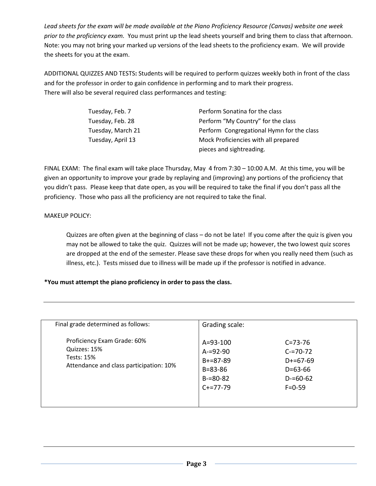*Lead sheets for the exam will be made available at the Piano Proficiency Resource (Canvas) website one week prior to the proficiency exam.* You must print up the lead sheets yourself and bring them to class that afternoon. Note: you may not bring your marked up versions of the lead sheets to the proficiency exam. We will provide the sheets for you at the exam.

ADDITIONAL QUIZZES AND TESTS**:** Students will be required to perform quizzes weekly both in front of the class and for the professor in order to gain confidence in performing and to mark their progress. There will also be several required class performances and testing:

| Tuesday, Feb. 7   | Perform Sonatina for the class            |  |
|-------------------|-------------------------------------------|--|
| Tuesday, Feb. 28  | Perform "My Country" for the class        |  |
| Tuesday, March 21 | Perform Congregational Hymn for the class |  |
| Tuesday, April 13 | Mock Proficiencies with all prepared      |  |
|                   | pieces and sightreading.                  |  |

FINAL EXAM: The final exam will take place Thursday, May 4 from 7:30 – 10:00 A.M. At this time, you will be given an opportunity to improve your grade by replaying and (improving) any portions of the proficiency that you didn't pass. Please keep that date open, as you will be required to take the final if you don't pass all the proficiency. Those who pass all the proficiency are not required to take the final.

#### MAKEUP POLICY:

Quizzes are often given at the beginning of class – do not be late! If you come after the quiz is given you may not be allowed to take the quiz. Quizzes will not be made up; however, the two lowest quiz scores are dropped at the end of the semester. Please save these drops for when you really need them (such as illness, etc.). Tests missed due to illness will be made up if the professor is notified in advance.

#### **\*You must attempt the piano proficiency in order to pass the class.**

| Final grade determined as follows:                                                                          | Grading scale:                                                                                     |                                                                                                |
|-------------------------------------------------------------------------------------------------------------|----------------------------------------------------------------------------------------------------|------------------------------------------------------------------------------------------------|
| Proficiency Exam Grade: 60%<br>Quizzes: 15%<br><b>Tests: 15%</b><br>Attendance and class participation: 10% | $A = 93 - 100$<br>$A = 92 - 90$<br>$B + = 87 - 89$<br>$B = 83 - 86$<br>$B = 80 - 82$<br>$C+=77-79$ | $C = 73 - 76$<br>$C = 70 - 72$<br>$D+ = 67-69$<br>$D = 63 - 66$<br>$D = 60 - 62$<br>$F = 0.59$ |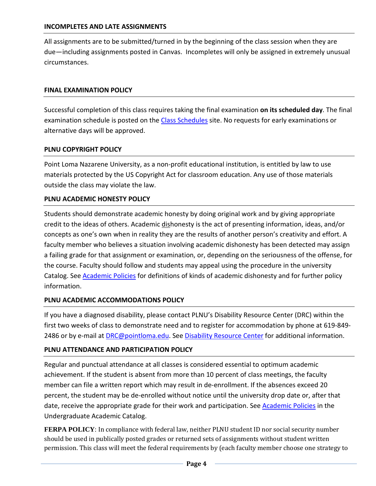All assignments are to be submitted/turned in by the beginning of the class session when they are due—including assignments posted in Canvas. Incompletes will only be assigned in extremely unusual circumstances.

#### **FINAL EXAMINATION POLICY**

Successful completion of this class requires taking the final examination **on its scheduled day**. The final examination schedule is posted on the [Class Schedules](http://www.pointloma.edu/experience/academics/class-schedules) site. No requests for early examinations or alternative days will be approved.

#### **PLNU COPYRIGHT POLICY**

Point Loma Nazarene University, as a non-profit educational institution, is entitled by law to use materials protected by the US Copyright Act for classroom education. Any use of those materials outside the class may violate the law.

### **PLNU ACADEMIC HONESTY POLICY**

Students should demonstrate academic honesty by doing original work and by giving appropriate credit to the ideas of others. Academic dishonesty is the act of presenting information, ideas, and/or concepts as one's own when in reality they are the results of another person's creativity and effort. A faculty member who believes a situation involving academic dishonesty has been detected may assign a failing grade for that assignment or examination, or, depending on the seriousness of the offense, for the course. Faculty should follow and students may appeal using the procedure in the university Catalog. See [Academic Policies](http://catalog.pointloma.edu/content.php?catoid=18&navoid=1278) for definitions of kinds of academic dishonesty and for further policy information.

## **PLNU ACADEMIC ACCOMMODATIONS POLICY**

If you have a diagnosed disability, please contact PLNU's Disability Resource Center (DRC) within the first two weeks of class to demonstrate need and to register for accommodation by phone at 619-849- 2486 or by e-mail at [DRC@pointloma.edu.](mailto:DRC@pointloma.edu) See [Disability Resource Center](http://www.pointloma.edu/experience/offices/administrative-offices/academic-advising-office/disability-resource-center) for additional information.

#### **PLNU ATTENDANCE AND PARTICIPATION POLICY**

Regular and punctual attendance at all classes is considered essential to optimum academic achievement. If the student is absent from more than 10 percent of class meetings, the faculty member can file a written report which may result in de-enrollment. If the absences exceed 20 percent, the student may be de-enrolled without notice until the university drop date or, after that date, receive the appropriate grade for their work and participation. See **Academic Policies** in the Undergraduate Academic Catalog.

**FERPA POLICY**: In compliance with federal law, neither PLNU student ID nor social security number should be used in publically posted grades or returned sets of assignments without student written permission. This class will meet the federal requirements by (each faculty member choose one strategy to